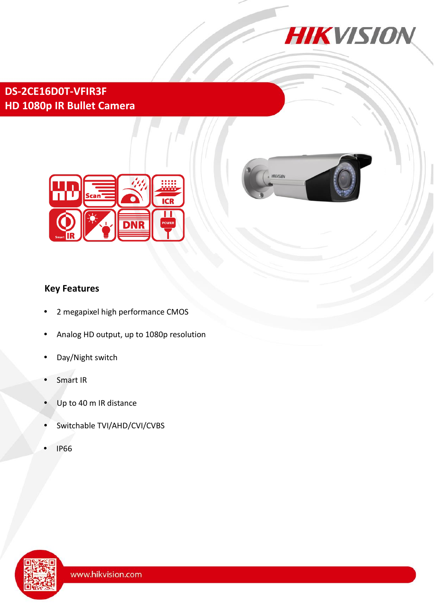

HIKVISION

# **DS-2CE16D0T-VFIR3F HD 1080p IR Bullet Camera**



## **Key Features**

- 2 megapixel high performance CMOS
- Analog HD output, up to 1080p resolution
- Day/Night switch
- Smart IR
- Up to 40 m IR distance
- Switchable TVI/AHD/CVI/CVBS
- IP66

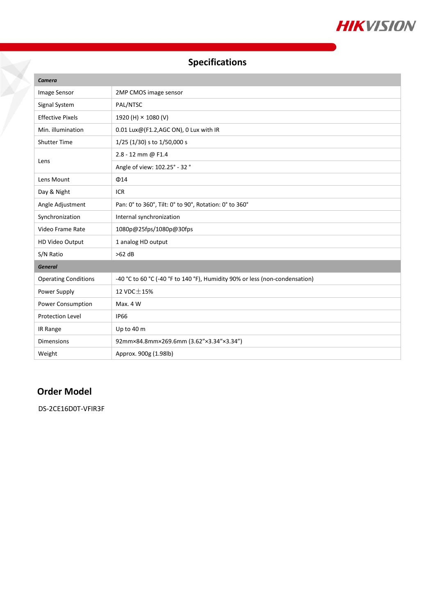

# **Specifications**

| Camera                      |                                                                             |
|-----------------------------|-----------------------------------------------------------------------------|
| Image Sensor                | 2MP CMOS image sensor                                                       |
| Signal System               | PAL/NTSC                                                                    |
| <b>Effective Pixels</b>     | 1920 (H) × 1080 (V)                                                         |
| Min. illumination           | 0.01 Lux@(F1.2,AGC ON), 0 Lux with IR                                       |
| <b>Shutter Time</b>         | 1/25 (1/30) s to 1/50,000 s                                                 |
| Lens                        | 2.8 - 12 mm @ F1.4                                                          |
|                             | Angle of view: 102.25° - 32 °                                               |
| Lens Mount                  | $\Phi$ 14                                                                   |
| Day & Night                 | <b>ICR</b>                                                                  |
| Angle Adjustment            | Pan: 0° to 360°, Tilt: 0° to 90°, Rotation: 0° to 360°                      |
| Synchronization             | Internal synchronization                                                    |
| Video Frame Rate            | 1080p@25fps/1080p@30fps                                                     |
| HD Video Output             | 1 analog HD output                                                          |
| S/N Ratio                   | $>62$ dB                                                                    |
| <b>General</b>              |                                                                             |
| <b>Operating Conditions</b> | -40 °C to 60 °C (-40 °F to 140 °F), Humidity 90% or less (non-condensation) |
| Power Supply                | 12 VDC $\pm$ 15%                                                            |
| Power Consumption           | Max. 4 W                                                                    |
| <b>Protection Level</b>     | <b>IP66</b>                                                                 |
| IR Range                    | Up to 40 m                                                                  |
| <b>Dimensions</b>           | 92mm×84.8mm×269.6mm (3.62"×3.34"×3.34")                                     |
| Weight                      | Approx. 900g (1.98lb)                                                       |

### **Order Model**

DS-2CE16D0T-VFIR3F